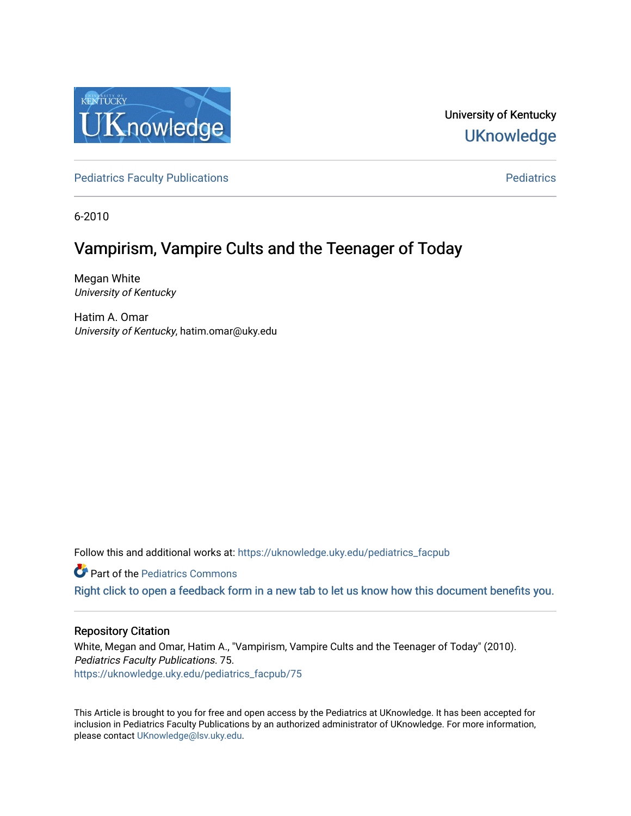

University of Kentucky **UKnowledge** 

[Pediatrics Faculty Publications](https://uknowledge.uky.edu/pediatrics_facpub) **Pediatrics** [Pediatrics](https://uknowledge.uky.edu/pediatrics) Pediatrics

6-2010

## Vampirism, Vampire Cults and the Teenager of Today

Megan White University of Kentucky

Hatim A. Omar University of Kentucky, hatim.omar@uky.edu

Follow this and additional works at: [https://uknowledge.uky.edu/pediatrics\\_facpub](https://uknowledge.uky.edu/pediatrics_facpub?utm_source=uknowledge.uky.edu%2Fpediatrics_facpub%2F75&utm_medium=PDF&utm_campaign=PDFCoverPages) 

**C** Part of the [Pediatrics Commons](http://network.bepress.com/hgg/discipline/700?utm_source=uknowledge.uky.edu%2Fpediatrics_facpub%2F75&utm_medium=PDF&utm_campaign=PDFCoverPages)

[Right click to open a feedback form in a new tab to let us know how this document benefits you.](https://uky.az1.qualtrics.com/jfe/form/SV_9mq8fx2GnONRfz7)

#### Repository Citation

White, Megan and Omar, Hatim A., "Vampirism, Vampire Cults and the Teenager of Today" (2010). Pediatrics Faculty Publications. 75. [https://uknowledge.uky.edu/pediatrics\\_facpub/75](https://uknowledge.uky.edu/pediatrics_facpub/75?utm_source=uknowledge.uky.edu%2Fpediatrics_facpub%2F75&utm_medium=PDF&utm_campaign=PDFCoverPages)

This Article is brought to you for free and open access by the Pediatrics at UKnowledge. It has been accepted for inclusion in Pediatrics Faculty Publications by an authorized administrator of UKnowledge. For more information, please contact [UKnowledge@lsv.uky.edu.](mailto:UKnowledge@lsv.uky.edu)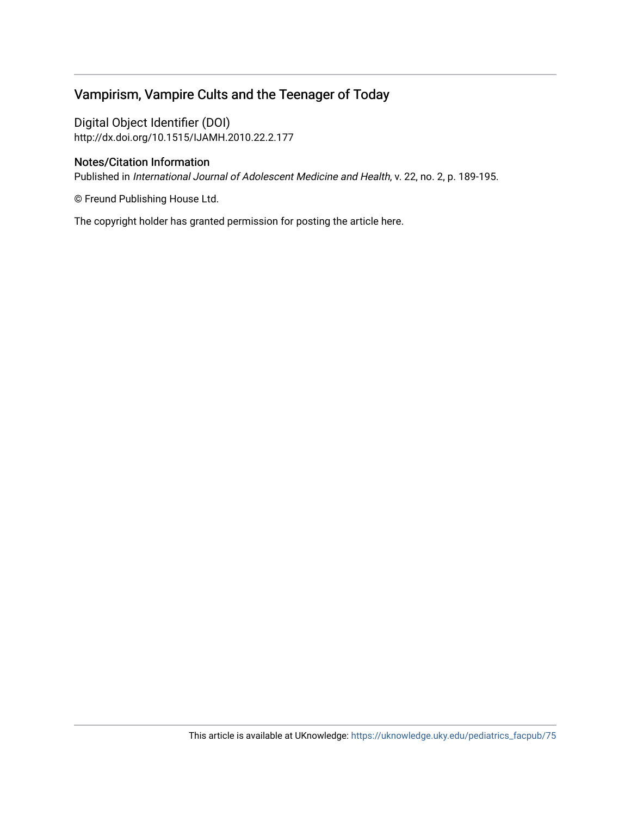## Vampirism, Vampire Cults and the Teenager of Today

Digital Object Identifier (DOI) http://dx.doi.org/10.1515/IJAMH.2010.22.2.177

#### Notes/Citation Information

Published in International Journal of Adolescent Medicine and Health, v. 22, no. 2, p. 189-195.

© Freund Publishing House Ltd.

The copyright holder has granted permission for posting the article here.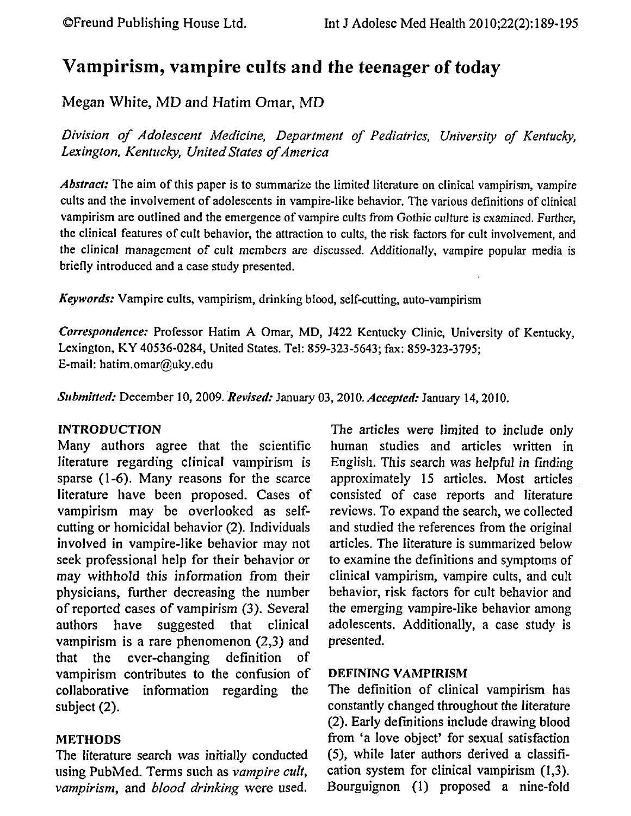# **Vampirism, vampire cults and the teenager of today**

Megan White, MD and Hatim Omar, MD

*Division of Adolescent Medicine, Department of Pediatrics, University of Kentucky, Lexington, Kentucky, United States of America* 

*Abstract:* The aim of this paper is to summarize the limited literature on clinical vampirism, vampire cults and the involvement of adolescents in vampire-like behavior. The various definitions of clinical vampirism are outlined and the emergence of vampire cults from Gothic culture is examined. Further, the clinical features of cult behavior, the attraction to cults, the risk factors for cult involvement, and the clinical management of cult members are discussed. Additionally, vampire popular media is briefly introduced and a case study presented.

*Keywords:* Vampire cults, vampirism, drinking blood, self-cutting, auto-vampirism

**Correspondence:** Professor Hatim A Omar, MD, J422 Kentucky Clinic, University of Kentucky, Lexington, KY 40536-0284, United States. Tel: 859-323-5643; fax: 859-323-3795; E-mail: hatim.omar@uky.edu

*Submitted: December 10, 2009. Revised: January 03, 2010. <i>Accepted: January 14, 2010.* 

### INTRODUCTION

Many authors agree that the scientific literature regarding clinical vampirism is sparse (1-6). Many reasons for the scarce literature have been proposed. Cases of vampirism may be overlooked as selfcutting or homicidal behavior (2). Individuals involved in vampire-like behavior may not seek professional help for their behavior or may withhold this information from their physicians, further decreasing the number of reported cases of vampirism (3). Several authors have suggested that clinical vampirism is a rare phenomenon (2,3) and that the ever-changing definition of vampirism contributes to the confusion of collaborative information regarding the subject (2).

## METHODS

The literature search was initially conducted using PubMed. Terms such as *vampire cult, vampirism,* and *blood drinking* were used.

The articles were limited to include only human studies and articles written in English. *This* search was helpful in finding approximately 15 articles. Most articles . consisted of case reports and literature reviews. To expand the search, we collected and studied the references from the original articles. The literature is summarized below to examine the definitions and symptoms of clinical vampirism, vampire cults, and cult behavior, risk factors for cult behavior and the emerging vampire-like behavior among adolescents. Additionally, a case study is presented.

## DEFINING VAMPIRISM

The definition of clinical vampirism has constantly changed throughout the literature (2). Early definitions include drawing blood from 'a love object' for sexual satisfaction (5), while later authors derived a classification system for clinical vampirism (1,3). Bourguignon (I) proposed a nine-fold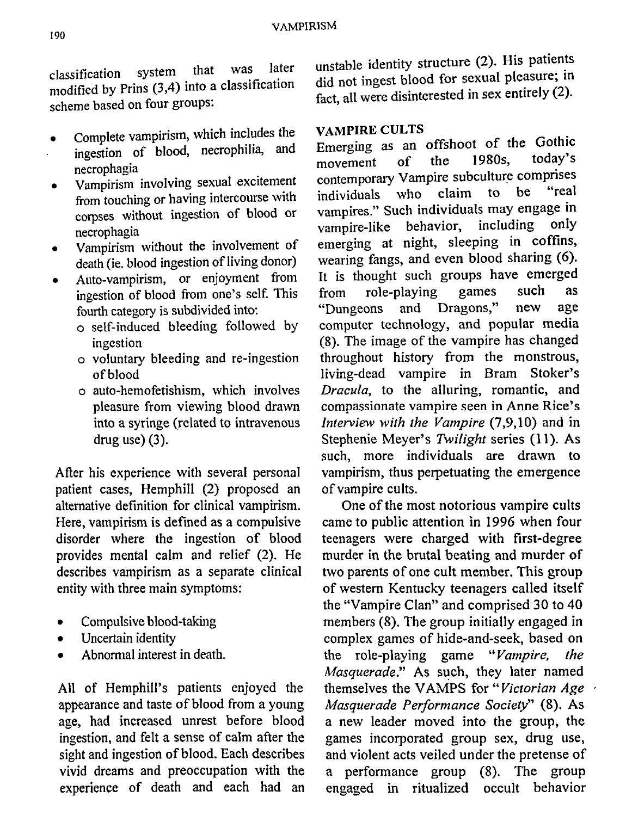classification system that was later modified by Prins (3,4) into a classification scheme based on four groups:

- Complete vampirism, which includes the
- ingestion of blood, necrophilia, and necrophagia
- Vampirism involving sexual excitement from touching or having intercourse with corpses without ingestion of blood or necrophagia
- Vampirism without the involvement of death (ie. blood ingestion of living donor)
- Auto-vampirism, or enjoyment from ingestion of blood from one's self. This fourth category is subdivided into:
	- o self-induced bleeding followed by ingestion
	- o voluntary bleeding and re-ingestion of blood
	- o auto-hemofetishism, which involves pleasure from viewing blood drawn into a syringe (related to intravenous drug use) (3).

After his experience with several personal patient cases, Hemphill (2) proposed an alternative definition for clinical vampirism. Here, vampirism is defined as a compulsive disorder where the ingestion of blood provides mental calm and relief (2). He describes vampirism as a separate clinical entity with three main symptoms:

- Compulsive blood-taking
- Uncertain identity
- Abnormal interest in death.

All of Hemphill's patients enjoyed the appearance and taste of blood from a young age, had increased unrest before blood ingestion, and felt a sense of calm after the sight and ingestion of blood. Each describes vivid dreams and preoccupation with the experience of death and each had an

unstable identity structure (2). His patients did not ingest blood for sexual pleasure; in fact, all were disinterested in sex entirely (2).

#### VAMPIRE CULTS

Emerging as an offshoot of the Gothic<br>movement of the 1980s. today's movement of the 1980s, today's contemporary Vampire subculture comprises individuals who claim to be "real vampires." Such individuals may engage in<br>vampire-like behavior, including only vampire-like behavior, emerging at night, sleeping in coffins, wearing fangs, and even blood sharing (6). It is thought such groups have emerged from role-playing games such as "Dungeons and Dragons," new age computer technology, and popular media (8). The image of the vampire has changed throughout history from the monstrous, living-dead vampire in Bram Stoker's *Dracula,* to the alluring, romantic, and compassionate vampire seen in Anne Rice's *Interview with the Vampire* (7,9,10) and in Stephenie Meyer's *Twilight* series (11). As such, more individuals are drawn to vampirism, thus perpetuating the emergence of vampire cults.

One of the most notorious vampire cults came to public attention in 1996 when four teenagers were charged with first-degree murder in the brutal beating and murder of two parents of one cult member. This group of western Kentucky teenagers called itself the "Vampire Clan" and comprised 30 to 40 members (8). The group initially engaged in complex games of hide-and-seek, based on the role-playing game *"Vampire, the Masquerade."* As such, they later named themselves the VAMPS for *"Victorian Age Masquerade Performance Society"* (8). As a new leader moved into the group, the games incorporated group sex, drug use, and violent acts veiled under the pretense of a performance group (8). The group engaged in ritualized occult behavior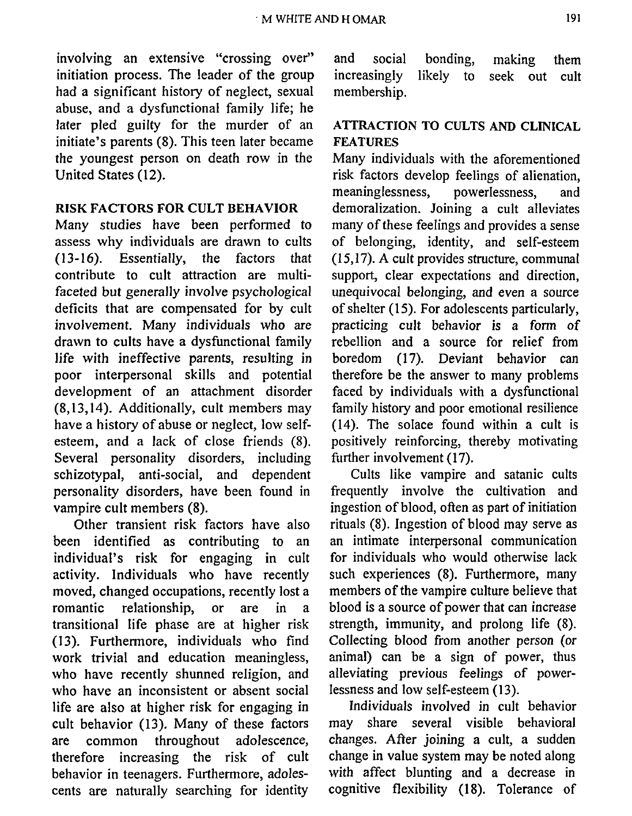involving an extensive "crossing over" initiation process. The leader of the group had a significant history of neglect, sexual abuse, and a dysfunctional family life; he later pled guilty for the murder of an initiate's parents (8). This teen later became the youngest person on death row in the United States (12).

#### RISK FACTORS FOR CULT BEHAVIOR

Many studies have been performed to assess why individuals are drawn to cults (13-16). Essentially, the factors that contribute to cult attraction are multifaceted but generally involve psychological deficits that are compensated for by cult involvement. Many individuals who are drawn to cults have a dysfunctional family life with ineffective parents, resulting in poor interpersonal skills and potential development of an attachment disorder (8, 13, 14). Additionally, cult members may have a history of abuse or neglect, low selfesteem, and a lack of close friends (8). Several personality disorders, including schizotypal, anti-social, and dependent personality disorders, have been found in vampire cult members (8).

Other transient risk factors have also been identified as contributing to an individual's risk for engaging in cult activity. Individuals who have recently moved, changed occupations, recently lost a romantic relationship, or are in a transitional life phase are at higher risk (13). Furthermore, individuals who find work trivial and education meaningless, who have recently shunned religion, and who have an inconsistent or absent social life are also at higher risk for engaging in cult behavior (13). Many of these factors are common throughout adolescence, therefore increasing the risk of cult behavior in teenagers. Furthermore, adolescents are naturally searching for identity

and social bonding, making them increasingly likely to seek out cult membership.

## ATTRACTION TO CULTS AND CLINICAL FEATURES

Many individuals with the aforementioned risk factors develop feelings of alienation,<br>meaninglessness, powerlessness, and meaninglessness, powerlessness, and demoralization. Joining a cult alleviates many of these feelings and provides a sense of belonging, identity, and self-esteem (15, 17). A cult provides structure, communal support, clear expectations and direction, unequivocal belonging, and even a source of shelter (15). For adolescents particularly, practicing cult behavior is a form of rebellion and a source for relief from boredom (17). Deviant behavior can therefore be the answer to many problems faced by individuals with a dysfunctional family history and poor emotional resilience (14). The solace found within a cult is positively reinforcing, thereby motivating further involvement (17).

Cults like vampire and satanic cults frequently involve the cultivation and ingestion of blood, often as part of initiation rituals (8). Ingestion of blood may serve as an intimate interpersonal communication for individuals who would otherwise lack such experiences (8). Furthermore, many members of the vampire culture believe that blood is a source of power that can increase strength, immunity, and prolong life (8). Collecting blood from another person (or animal) can be a sign of power, thus alleviating previous feelings of powerlessness and low self-esteem (13).

Individuals involved in cult behavior may share several visible behavioral changes. After joining a cult, a sudden change in value system may be noted along with affect blunting and a decrease in cognitive flexibility (18). Tolerance of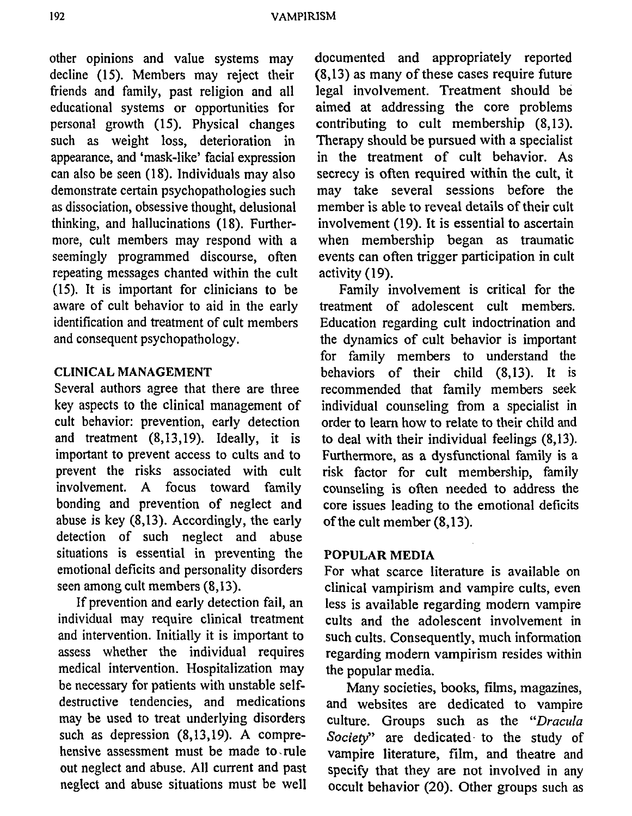other opinions and value systems may decline (15). Members may reject their friends and family, past religion and all educational systems or opportunities for personal growth (15). Physical changes such as weight loss, deterioration in appearance, and 'mask-like' facial expression can also be seen (18). Individuals may also demonstrate certain psychopathologies such as dissociation, obsessive thought, delusional thinking, and hallucinations (18). Furthermore, cult members may respond with a seemingly programmed discourse, often repeating messages chanted within the cult (15). It is important for clinicians to be aware of cult behavior to aid in the early identification and treatment of cult members and consequent psychopathology.

#### CLINICAL MANAGEMENT

Several authors agree that there are three key aspects to the clinical management of cult behavior: prevention, early detection and treatment (8,13,19). Ideally, it is important to prevent access to cults and to prevent the risks associated with cult involvement. A focus toward family bonding and prevention of neglect and abuse is key  $(8, 13)$ . Accordingly, the early detection of such neglect and abuse situations is essential in preventing the emotional deficits and personality disorders seen among cult members (8, 13).

If prevention and early detection fail, an individual may require clinical treatment and intervention. Initially it is important to assess whether the individual requires medical intervention. Hospitalization may be necessary for patients with unstable selfdestructive tendencies, and medications may be used to treat underlying disorders such as depression  $(8, 13, 19)$ . A comprehensive assessment must be made to, rule out neglect and abuse. All current and past neglect and abuse situations must be well

documented and appropriately reported (8,13) as many of these cases require future legal involvement. Treatment should be aimed at addressing the core problems contributing to cult membership (8.13). Therapy should be pursued with a specialist in the treatment of cult behavior. As secrecy is often required within the cult, it may take several sessions before the member is able to reveal details of their cult involvement (19). It is essential to ascertain when membership began as traumatic events can often trigger participation in cult activity (19).

Family involvement is critical for the treatment of adolescent cult members. Education regarding cult indoctrination and the dynamics of cult behavior is important for family members to understand the behaviors of their child (8,13). It is recommended that family members seek individual counseling from a specialist in order to learn how to relate to their child and to deal with their individual feelings (8,13). Furthermore, as a dysfunctional family is a risk factor for cult membership, family counseling is often needed to address the core issues leading to the emotional deficits ofthe cult member (8,13).

#### **POPULAR MEDIA**

For what scarce literature is available on clinical vampirism and vampire cults, even less is available regarding modem vampire cults and the adolescent involvement in such cults. Consequently, much information regarding modem vampirism resides within the popular media.

Many societies, books, films, magazines, and websites are dedicated to vampire culture. Groups such as the *"Dracula Society"* are dedicated· to the study of vampire literature, film, and theatre and specify that they are not involved in any occult behavior (20). Other groups such as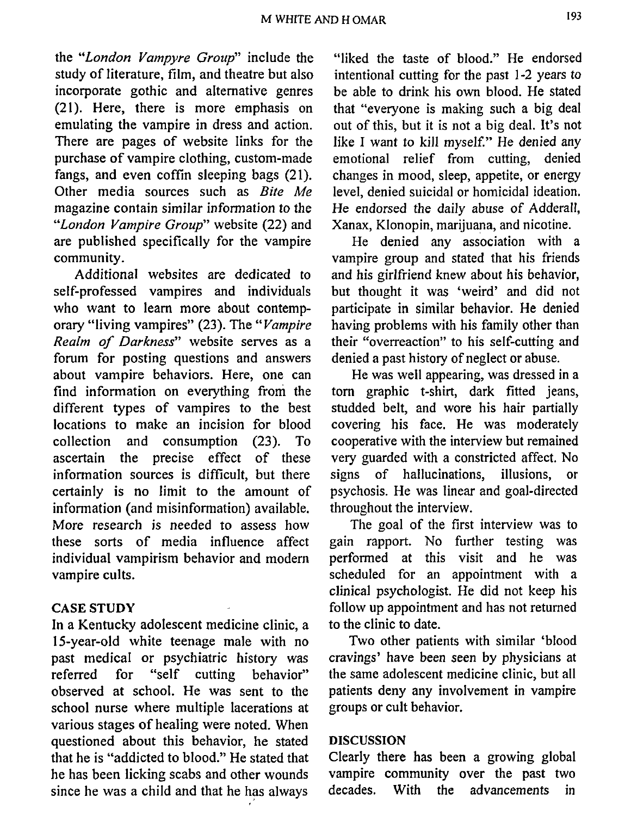M WHITE AND H OMAR 193

the *"London Vampyre Group"* include the study of literature, film, and theatre but also incorporate gothic and alternative genres (21). Here, there is more emphasis on emulating the vampire in dress and action. There are pages of website links for the purchase of vampire clothing, custom-made fangs, and even coffin sleeping bags (21). Other media sources such as *Bite Me*  magazine contain similar information to the *"London Vampire Group"* website (22) and are published specifically for the vampire community.

Additional websites are dedicated to self-professed vampires and individuals who want to learn more about contemporary "living vampires" (23). The *"Vampire Realm of Darkness"* website serves as a forum for posting questions and answers about vampire behaviors. Here, one can find information on everything from the different types of vampires to the best locations to make an incision for blood collection and consumption (23). To ascertain the precise effect of these information sources is difficult, but there certainly is no limit to the amount of information (and misinformation) available. More research is needed to assess how these sorts of media influence affect individual vampirism behavior and modern vampire cults.

#### CASE **STUDY**

In a Kentucky adolescent medicine clinic, a 15-year-old white teenage male with no past medical or psychiatric history was referred for "self cutting behavior" observed at school. He was sent to the school nurse where multiple lacerations at various stages of healing were noted. When questioned about this behavior, he stated that he is "addicted to blood." He stated that he has been licking scabs and other wounds since he was a child and that he has always

"liked the taste of blood." He endorsed intentional cutting for the past 1-2 years to be able to drink his own blood. He stated that "everyone is making such a big deal out of this, but it is not a big deal. It's not like I want to kill myself." He denied any emotional relief from cutting, denied changes in mood, sleep, appetite, or energy level, denied suicidal or homicidal ideation. He endorsed the daily abuse of Adderall, Xanax, Klonopin, marijuana, and nicotine.

He denied any association with a vampire group and stated that his friends and his girlfriend knew about his behavior, but thought it was 'weird' and did not participate in similar behavior. He denied having problems with his family other than their "overreaction" to his self-cutting and denied a past history of neglect or abuse.

He was well appearing, was dressed in a tom graphic t-shirt, dark fitted jeans, studded belt, and wore his hair partially covering his face. He was moderately cooperative with the interview but remained very guarded with a constricted affect. No signs of hallucinations, illusions, or psychosis. He was linear and goal-directed throughout the interview.

The goal of the first interview was to gain rapport. No further testing was performed at this visit and he was scheduled for an appointment with a clinical psychologist. He did not keep his follow up appointment and has not returned to the clinic to date.

Two other patients with similar 'blood cravings' have been seen by physicians at the same adolescent medicine clinic, but all patients deny any involvement in vampire groups or cult behavior.

#### DISCUSSION

Clearly there has been a growing global vampire community over the past two decades. With the advancements in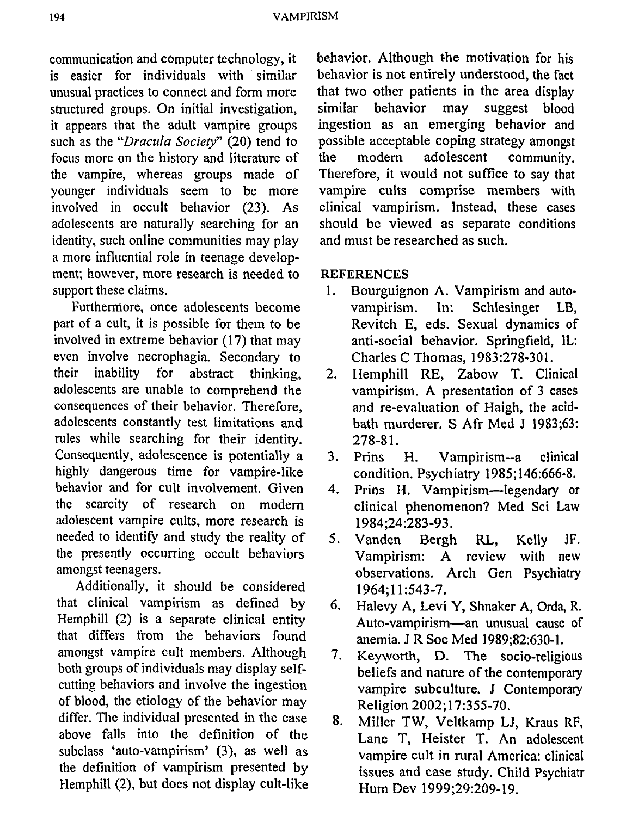194 VAMPIRISM

communication and computer technology, it is easier for individuals with similar unusual practices to connect and form more structured groups. On initial investigation, it appears that the adult vampire groups such as the *"Dracula Society"* (20) tend to focus more on the history and literature of the vampire, whereas groups made of younger individuals seem to be more involved in occult behavior (23). As adolescents are naturally searching for an identity, such online communities may play a more influential role in teenage development; however, more research is needed to support these claims.

Furthemiore, once adolescents become part of a cult, it is possible for them to be involved in extreme behavior (17) that may even involve necrophagia. Secondary to their inability for abstract thinking, adolescents are unable to comprehend the consequences of their behavior. Therefore, adolescents constantly test limitations and rules while searching for their identity. Consequently, adolescence is potentially a highly dangerous time for vampire-like behavior and for cult involvement. Given the scarcity of research on modem adolescent vampire cults, more research is needed to identify and study the reality of the presently occurring occult behaviors amongst teenagers.

Additionally, it should be considered that clinical vampirism as defined by Hemphill (2) is a separate clinical entity that differs from the behaviors found amongst vampire cult members. Although both groups of individuals may display selfcutting behaviors and involve the ingestion of blood, the etiology of the behavior may differ. The individual presented in the case above falls into the definition of the subclass 'auto-vampirism' (3), as well as the definition of vampirism presented by Hemphill (2), but does not display cult-like

behavior. Although the motivation for his behavior is not entirely understood, the fact that two other patients in the area display similar behavior may suggest blood ingestion as an emerging behavior and possible acceptable coping strategy amongst the modem adolescent community. Therefore, it would not suffice to say that vampire cults comprise members with clinical vampirism. Instead, these cases should be viewed as separate conditions and must be researched as such.

### **REFERENCES**

- 1. Bourguignon A. Vampirism and autovampirism. In: Schlesinger LB, Revitch E, eds. Sexual dynamics of anti-social behavior. Springfield, IL: Charles C Thomas, 1983:278-301.
- 2. Hemphill RE, Zabow T. Clinical vampirism. A presentation of 3 cases and re-evaluation of Haigh, the acidbath murderer. S Afr Med J 1983;63: 278-81.
- 3. Prins H. Vampirism--a clinical condition. Psychiatry 1985; 146:666-8.
- 4. Prins H. Vampirism-legendary or clinical phenomenon? Med Sci Law 1984;24:283-93.
- 5. Vanden Bergh RL, Kelly JF. Vampirism: A review with new observations. Arch Gen Psychiatry 1964;11:543-7.
- 6. Halevy A, Levi Y, Shnaker A, Orda, R. Auto-vampirism-an unusual cause of anemia. J R Soc Med 1989;82:630-1.
- 7. Keyworth, D. The socio-religious beliefs and nature of the contemporary vampire subculture. J Contemporary Religion 2002; 17:355-70.
- 8. Miller TW, Veltkamp LJ, Kraus RF, Lane T, Heister T. An adolescent vampire cult in rural America: clinical issues and case study. Child Psychiatr Hum Dev 1999;29:209-19.